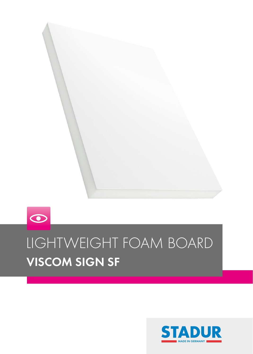

# $\odot$ LIGHTWEIGHT FOAM BOARD VISCOM SIGN SF